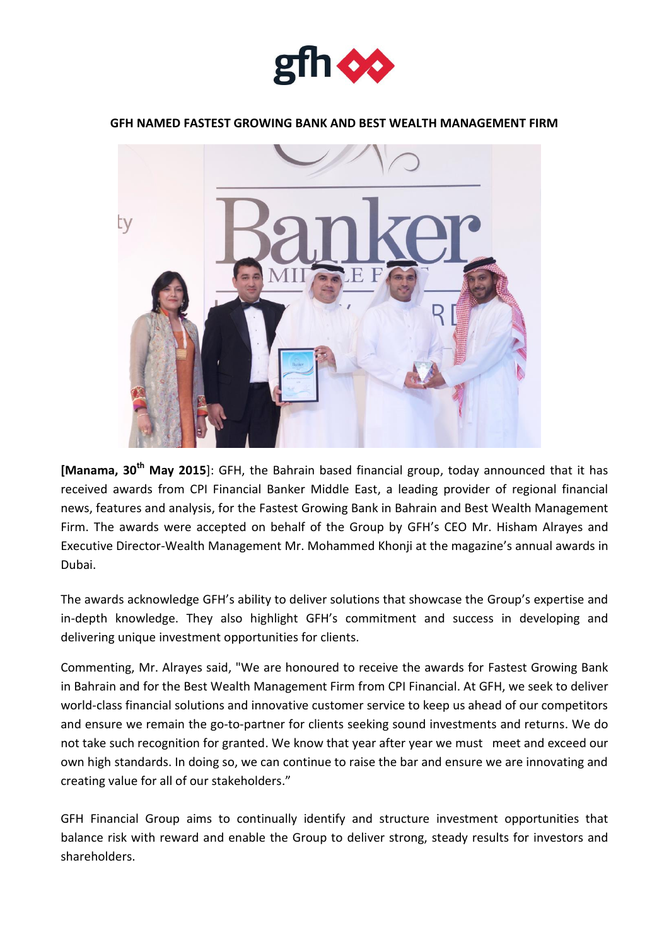

## **GFH NAMED FASTEST GROWING BANK AND BEST WEALTH MANAGEMENT FIRM**



**[Manama, 30th May 2015**]: GFH, the Bahrain based financial group, today announced that it has received awards from CPI Financial Banker Middle East, a leading provider of regional financial news, features and analysis, for the Fastest Growing Bank in Bahrain and Best Wealth Management Firm. The awards were accepted on behalf of the Group by GFH's CEO Mr. Hisham Alrayes and Executive Director-Wealth Management Mr. Mohammed Khonji at the magazine's annual awards in Dubai.

The awards acknowledge GFH's ability to deliver solutions that showcase the Group's expertise and in-depth knowledge. They also highlight GFH's commitment and success in developing and delivering unique investment opportunities for clients.

Commenting, Mr. Alrayes said, "We are honoured to receive the awards for Fastest Growing Bank in Bahrain and for the Best Wealth Management Firm from CPI Financial. At GFH, we seek to deliver world-class financial solutions and innovative customer service to keep us ahead of our competitors and ensure we remain the go-to-partner for clients seeking sound investments and returns. We do not take such recognition for granted. We know that year after year we must meet and exceed our own high standards. In doing so, we can continue to raise the bar and ensure we are innovating and creating value for all of our stakeholders."

GFH Financial Group aims to continually identify and structure investment opportunities that balance risk with reward and enable the Group to deliver strong, steady results for investors and shareholders.